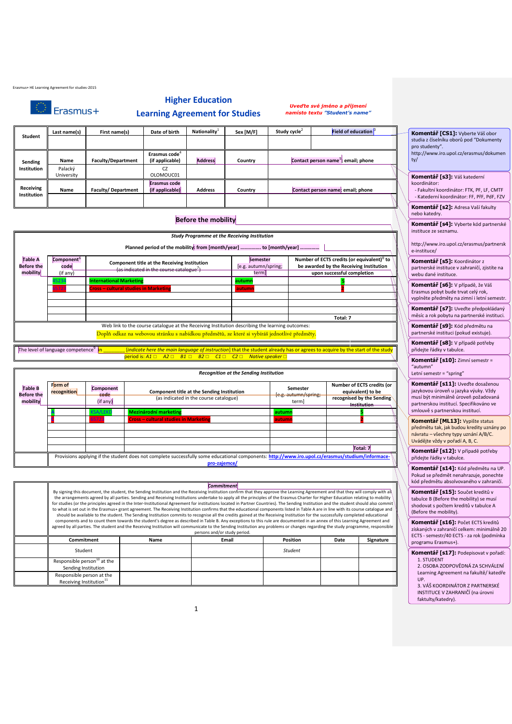|  |  | Erasmus+ HE Learning Agreement for studies-2015 |
|--|--|-------------------------------------------------|
|  |  |                                                 |

|  | 1 <b>Erasmus</b> + |
|--|--------------------|
|  |                    |
|  |                    |
|  |                    |

### **Higher Education**

#### **Learning Agreement for Studies**

*Uveďte své jméno a příjmení namísto textu "Student's name"*

|                                                                                                                                                                                                       | Last name(s)          | First name(s)                                                                  | Date of birth                                                      | Nationality <sup>1</sup>                                                                                                        | Sex [M/F]                                                                                             | Study cycle <sup>2</sup> | <b>Field of education</b>                       | Komentář [CS1]: Vyberte Váš obor                                                                                   |
|-------------------------------------------------------------------------------------------------------------------------------------------------------------------------------------------------------|-----------------------|--------------------------------------------------------------------------------|--------------------------------------------------------------------|---------------------------------------------------------------------------------------------------------------------------------|-------------------------------------------------------------------------------------------------------|--------------------------|-------------------------------------------------|--------------------------------------------------------------------------------------------------------------------|
| Student                                                                                                                                                                                               |                       |                                                                                |                                                                    |                                                                                                                                 |                                                                                                       |                          |                                                 | studia z číselníku oborů pod "Dokumenty<br>pro studenty".                                                          |
| Sending                                                                                                                                                                                               | Name                  | <b>Faculty/Department</b>                                                      | Erasmus code <sup>4</sup><br>(if applicable)                       | <b>Address</b>                                                                                                                  | Country                                                                                               |                          | Contact person name <sup>5</sup> ; email; phone | http://www.iro.upol.cz/erasmus/dokum<br>ty/                                                                        |
| Institution                                                                                                                                                                                           | Palacký<br>University |                                                                                | <b>CZ</b><br>OLOMOUC01                                             |                                                                                                                                 |                                                                                                       |                          |                                                 | Komentář [s3]: Váš katederní                                                                                       |
| Receiving<br>Institution                                                                                                                                                                              | Name                  | <b>Faculty/Department</b>                                                      | <b>Erasmus code</b><br>(if applicable)                             | <b>Address</b>                                                                                                                  | Country                                                                                               |                          | Contact person name; email; phone               | koordinátor:<br>- Fakultní koordinátor: FTK, PF, LF, CMT<br>- Katederní koordinátor: FF, PřF, PdF, FZ              |
|                                                                                                                                                                                                       |                       |                                                                                |                                                                    |                                                                                                                                 |                                                                                                       |                          |                                                 | Komentář [s2]: Adresa Vaší fakulty<br>nebo katedry.                                                                |
|                                                                                                                                                                                                       |                       |                                                                                |                                                                    | <b>Before the mobility</b>                                                                                                      |                                                                                                       |                          |                                                 | Komentář [s4]: Vyberte kód partners<br>instituce ze seznamu.                                                       |
|                                                                                                                                                                                                       |                       |                                                                                |                                                                    |                                                                                                                                 | <b>Study Programme at the Receiving Institution</b>                                                   |                          |                                                 |                                                                                                                    |
|                                                                                                                                                                                                       |                       |                                                                                | Planned period of the mobility: from [month/year]  to [month/year] |                                                                                                                                 |                                                                                                       |                          |                                                 | http://www.iro.upol.cz/erasmus/partner<br>e-instituce/                                                             |
| <b>Table A</b><br>Component <sup>6</sup><br>Component title at the Receiving Institution<br><b>Before the</b><br>code<br>(as indicated in the course catalogue <sup>7</sup> )<br>(if any)<br>mobility |                       | <b>Semester</b><br>[e.g. autumn/spring;<br>term                                |                                                                    | Number of ECTS credits (or equivalent) <sup>8</sup> to<br>be awarded by the Receiving Institution<br>upon successful completion | Komentář [s5]: Koordinátor z<br>partnerské instituce v zahraničí, zjistíte na<br>webu dané instituce. |                          |                                                 |                                                                                                                    |
|                                                                                                                                                                                                       | 523                   | <b>International Marketing</b><br><b>Cross - cultural studies in Marketing</b> |                                                                    |                                                                                                                                 | autumn<br>autum                                                                                       |                          |                                                 | Komentář [s6]: V případě, že Váš<br>Erasmus pobyt bude trvat celý rok,<br>vyplněte předměty na zimní i letní semes |
|                                                                                                                                                                                                       |                       |                                                                                |                                                                    |                                                                                                                                 |                                                                                                       |                          | Total: 7                                        | Komentář [s7]: Uveďte předpokládar<br>měsíc a rok pobytu na partnerské instituc                                    |
|                                                                                                                                                                                                       |                       |                                                                                |                                                                    |                                                                                                                                 | Web link to the course catalogue at the Receiving Institution describing the learning outcomes:       |                          |                                                 | Komentář [s9]: Kód předmětu na                                                                                     |

Doplň odkaz na webovou stránku s nabídkou předmětů, ze které si vybíráš jednotlivé předměty.

The level of language competence<sup>9</sup> in in \_\_\_\_\_\_\_\_ [*indicate here the main language of instruction*] that the student already has or agrees to acquire by the start of the study period is: *A1* ☐ *A2* ☐ *B1* ☐ *B2* ☐ *C1* ☐ *C2* ☐ *Native speaker* ☐

|                                                 |                                                                                                                                                                  |                                                                                                                                       | <b>Recognition at the Sending Institution</b>                                |                  |          |                                  |                                                                                               |
|-------------------------------------------------|------------------------------------------------------------------------------------------------------------------------------------------------------------------|---------------------------------------------------------------------------------------------------------------------------------------|------------------------------------------------------------------------------|------------------|----------|----------------------------------|-----------------------------------------------------------------------------------------------|
| <b>Table B</b><br><b>Before the</b><br>mobility | Form of<br>recognition                                                                                                                                           | <b>Component</b><br>Component title at the Sending Institution<br>code<br>(as indicated in the course catalogue)<br>(if any)<br>terml |                                                                              |                  |          | Semester<br>[e.g. autumn/spring; | Number of ECTS credits (or<br>equivalent) to be<br>recognised by the Sending<br>-Institution- |
|                                                 |                                                                                                                                                                  | <b>KSA/LEKE</b><br>5723                                                                                                               | <b>Mezinárodní marketing</b><br><b>Cross - cultural studies in Marketing</b> | autumn<br>autumn |          |                                  |                                                                                               |
|                                                 |                                                                                                                                                                  |                                                                                                                                       |                                                                              |                  | Total: 7 |                                  |                                                                                               |
|                                                 | Provisions applying if the student does not complete successfully some educational components: http://www.iro.upol.cz/erasmus/studium/informace-<br>pro-zajemce/ |                                                                                                                                       |                                                                              |                  |          |                                  |                                                                                               |

|                                                                                                                                                                                       |      | Commitment                                                                                                                                                                        |                 |      |           |
|---------------------------------------------------------------------------------------------------------------------------------------------------------------------------------------|------|-----------------------------------------------------------------------------------------------------------------------------------------------------------------------------------|-----------------|------|-----------|
| By signing this document, the student, the Sending Institution and the Receiving Institution confirm that they approve the Learning Agreement and that they will comply with all      |      |                                                                                                                                                                                   |                 |      |           |
|                                                                                                                                                                                       |      | the arrangements agreed by all parties. Sending and Receiving Institutions undertake to apply all the principles of the Erasmus Charter for Higher Education relating to mobility |                 |      |           |
| for studies (or the principles agreed in the Inter-Institutional Agreement for institutions located in Partner Countries). The Sending Institution and the student should also commit |      |                                                                                                                                                                                   |                 |      |           |
| to what is set out in the Erasmus+ grant agreement. The Receiving Institution confirms that the educational components listed in Table A are in line with its course catalogue and    |      |                                                                                                                                                                                   |                 |      |           |
|                                                                                                                                                                                       |      | should be available to the student. The Sending Institution commits to recognise all the credits gained at the Receiving Institution for the successfully completed educational   |                 |      |           |
|                                                                                                                                                                                       |      | components and to count them towards the student's degree as described in Table B. Any exceptions to this rule are documented in an annex of this Learning Agreement and          |                 |      |           |
| agreed by all parties. The student and the Receiving Institution will communicate to the Sending Institution any problems or changes regarding the study programme, responsible       |      |                                                                                                                                                                                   |                 |      |           |
|                                                                                                                                                                                       |      | persons and/or study period.                                                                                                                                                      |                 |      |           |
| Commitment                                                                                                                                                                            | Name | Email                                                                                                                                                                             | <b>Position</b> | Date | Signature |
| Student                                                                                                                                                                               |      |                                                                                                                                                                                   | <b>Student</b>  |      |           |
|                                                                                                                                                                                       |      |                                                                                                                                                                                   |                 |      |           |
| Responsible person <sup>10</sup> at the                                                                                                                                               |      |                                                                                                                                                                                   |                 |      |           |
| Sending Institution                                                                                                                                                                   |      |                                                                                                                                                                                   |                 |      |           |
| Responsible person at the                                                                                                                                                             |      |                                                                                                                                                                                   |                 |      |           |
| Receiving Institution <sup>11</sup>                                                                                                                                                   |      |                                                                                                                                                                                   |                 |      |           |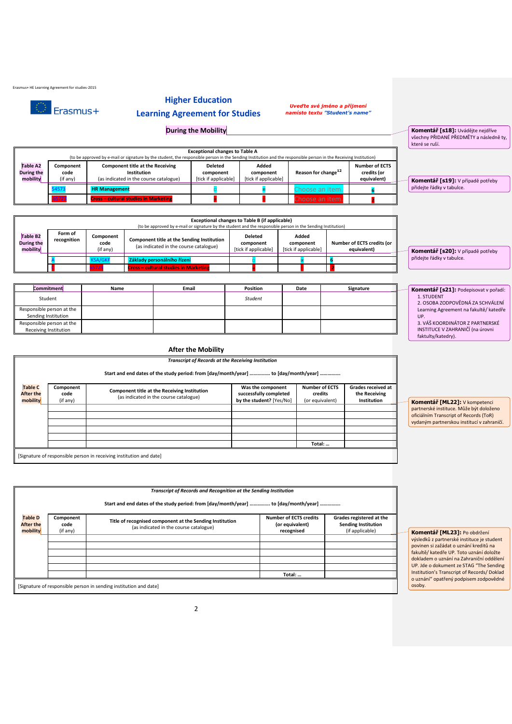Erasmus+ HE Learning Agreement for studies-2015

 $\circledcirc$  Erasmus+

## **Higher Education**

## **Learning Agreement for Studies**

*Uveďte své jméno a příjmení namísto textu "Student's name"*

**During the Mobility** 

|                                                  |                               |                                                                                           |                                              |                                            |                                 |                                                     | které se ruší.                    |
|--------------------------------------------------|-------------------------------|-------------------------------------------------------------------------------------------|----------------------------------------------|--------------------------------------------|---------------------------------|-----------------------------------------------------|-----------------------------------|
|                                                  |                               |                                                                                           |                                              |                                            |                                 |                                                     |                                   |
| <b>Table A2</b><br><b>During the</b><br>mobility | Component<br>code<br>(if any) | Component title at the Receiving<br>Institution<br>(as indicated in the course catalogue) | Deleted<br>component<br>[tick if applicable] | Added<br>component<br>[tick if applicable] | Reason for change <sup>12</sup> | <b>Number of ECTS</b><br>credits (or<br>equivalent) | Komentář [s19]: V případě potřeby |
|                                                  | 54573                         | <b>HR Management</b>                                                                      |                                              |                                            | <b>Thoose an item.</b>          |                                                     | přidejte řádky v tabulce.         |
|                                                  | 6572                          | <b>Cross - cultural studies in Marketing</b>                                              |                                              |                                            | :hoose an item.                 |                                                     |                                   |

|                                                | Exceptional changes to Table B (if applicable)<br>(to be approved by e-mail or signature by the student and the responsible person in the Sending Institution) |                               |                                                                                      |                                                     |  |                                            |  |                                           |
|------------------------------------------------|----------------------------------------------------------------------------------------------------------------------------------------------------------------|-------------------------------|--------------------------------------------------------------------------------------|-----------------------------------------------------|--|--------------------------------------------|--|-------------------------------------------|
| Table B <sub>2</sub><br>During the<br>mobility | Form of<br>recognition                                                                                                                                         | Component<br>code<br>(if any) | Component title at the Sending Institution<br>(as indicated in the course catalogue) | <b>Deleted</b><br>component<br>[tick if applicable] |  | Added<br>component<br>[tick if applicable] |  | Number of ECTS credits (or<br>equivalent) |
|                                                |                                                                                                                                                                |                               | Základy personálního řízení                                                          |                                                     |  |                                            |  |                                           |
|                                                |                                                                                                                                                                | 5723                          | <b>Cross - cultural studies in Marketing</b>                                         |                                                     |  |                                            |  |                                           |

| Commitment                                         | Name | Email | <b>Position</b> | Date | Signature | Komentář [s21]: Podepisovat v pořadí:                               |
|----------------------------------------------------|------|-------|-----------------|------|-----------|---------------------------------------------------------------------|
| Student                                            |      |       | <b>Student</b>  |      |           | 1. STUDENT<br>2. OSOBA ZODPOVĚDNÁ ZA SCHVÁLENÍ                      |
| Responsible person at the<br>Sending Institution   |      |       |                 |      |           | Learning Agreement na fakultě/ katedře<br>UP.                       |
| Responsible person at the<br>Receiving Institution |      |       |                 |      |           | 3. VÁŠ KOORDINÁTOR Z PARTNERSKÉ<br>INSTITUCE V ZAHRANIČÍ (na úrovni |
|                                                    |      |       |                 |      |           | faktulty/katedry).                                                  |

#### **After the Mobility**

*Transcript of Records at the Receiving Institution* **Start and end dates of the study period: from [day/month/year] ……………. to [day/month/year] …………….**

| <b>Table C</b><br><b>After the</b><br>mobility | Component<br>code<br>(if any)                                       | Component title at the Receiving Institution<br>(as indicated in the course catalogue) | Was the component<br>successfully completed<br>by the student? [Yes/No] | <b>Number of ECTS</b><br>credits<br>(or equivalent) | Grades received at<br>the Receiving<br>Institution |  |  |
|------------------------------------------------|---------------------------------------------------------------------|----------------------------------------------------------------------------------------|-------------------------------------------------------------------------|-----------------------------------------------------|----------------------------------------------------|--|--|
|                                                |                                                                     |                                                                                        |                                                                         |                                                     |                                                    |  |  |
|                                                |                                                                     |                                                                                        |                                                                         |                                                     |                                                    |  |  |
|                                                |                                                                     |                                                                                        |                                                                         |                                                     |                                                    |  |  |
|                                                |                                                                     |                                                                                        |                                                                         |                                                     |                                                    |  |  |
|                                                |                                                                     |                                                                                        |                                                                         |                                                     |                                                    |  |  |
|                                                |                                                                     |                                                                                        |                                                                         | Total:                                              |                                                    |  |  |
|                                                | [Signature of responsible person in receiving institution and date] |                                                                                        |                                                                         |                                                     |                                                    |  |  |

**Komentář [ML22]:** V kompetenci partnerské instituce. Může být doloženo oficiálním Transcript of Records (ToR) vydaným partnerskou institucí v zahraničí.

**Komentář [s18]:** Uvádějte nejdříve všechny PŘIDANÉ PŘEDMĚTY a následně ty,

**Komentář [s20]:** V případě potřeby

přidejte řádky v tabulce.

|                                                | Transcript of Records and Recognition at the Sending Institution  |                                                                                                    |                                                                |                                                                           |  |  |  |
|------------------------------------------------|-------------------------------------------------------------------|----------------------------------------------------------------------------------------------------|----------------------------------------------------------------|---------------------------------------------------------------------------|--|--|--|
|                                                |                                                                   | Start and end dates of the study period: from [day/month/year]  to [day/month/year]                |                                                                |                                                                           |  |  |  |
| <b>Table D</b><br><b>After the</b><br>mobility | Component<br>code<br>(if any)                                     | Title of recognised component at the Sending Institution<br>(as indicated in the course catalogue) | <b>Number of ECTS credits</b><br>(or equivalent)<br>recognised | Grades registered at the<br><b>Sending Institution</b><br>(if applicable) |  |  |  |
|                                                |                                                                   |                                                                                                    |                                                                |                                                                           |  |  |  |
|                                                |                                                                   |                                                                                                    |                                                                |                                                                           |  |  |  |
|                                                |                                                                   |                                                                                                    |                                                                |                                                                           |  |  |  |
|                                                |                                                                   |                                                                                                    |                                                                |                                                                           |  |  |  |
|                                                |                                                                   |                                                                                                    | Total:                                                         |                                                                           |  |  |  |
|                                                | [Signature of responsible person in sending institution and date] |                                                                                                    |                                                                |                                                                           |  |  |  |

#### **Komentář [ML23]:** Po obdržení výsledků z partnerské instituce je student

povinen si zažádat o uznání kreditů na fakultě/ katedře UP. Toto uznání doložte dokladem o uznání na Zahraniční oddělení UP. Jde o dokument ze STAG "The Sending Institution's Transcript of Records/ Doklad o uznání" opatřený podpisem zodpovědné osoby.